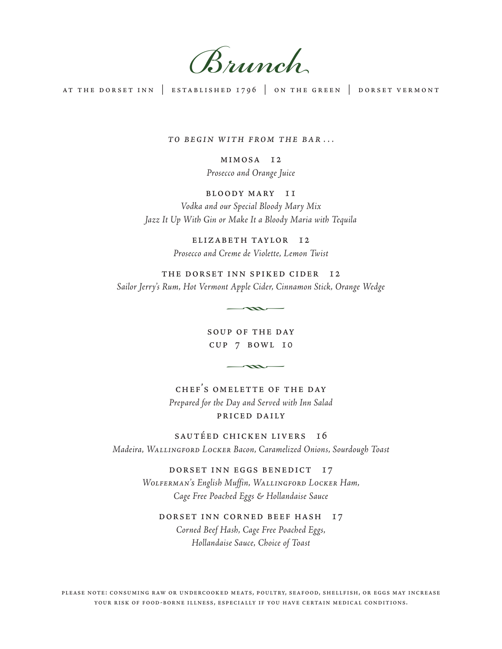Brunch

at the dorset inn | established 1796 | on the green | dorset vermont

TO BEGIN WITH FROM THE BAR...

mimosa 12 Prosecco and Orange Juice

## bloody mary 11

Vodka and our Special Bloody Mary Mix Jazz It Up With Gin or Make It a Bloody Maria with Tequila

> elizabeth taylor 12 Prosecco and Creme de Violette, Lemon Twist

the dorset inn spiked cider 12 Sailor Jerry's Rum, Hot Vermont Apple Cider, Cinnamon Stick, Orange Wedge k

> soup of the day  $CUP$  7 BOWL 10

chef's omelette of the day Prepared for the Day and Served with Inn Salad priced daily

sautéed chicken livers 16 Madeira, WALLINGFORD LOCKER Bacon, Caramelized Onions, Sourdough Toast

> dorset inn eggs benedict 17 WOLFERMAN's English Muffin, WALLINGFORD LOCKER Ham, Cage Free Poached Eggs & Hollandaise Sauce

dorset inn corned beef hash 17 Corned Beef Hash, Cage Free Poached Eggs, Hollandaise Sauce, Choice of Toast

please note: consuming raw or undercooked meats, poultry, seafood, shellfish, or eggs may increase your risk of food-borne illness, especially if you have certain medical conditions.